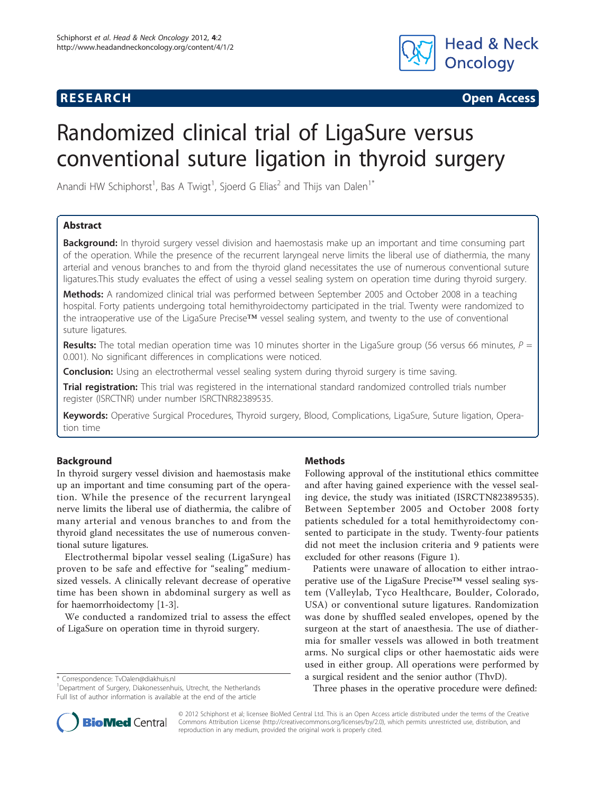

**RESEARCH CONSTRUCTED ACCESS** 

# Randomized clinical trial of LigaSure versus conventional suture ligation in thyroid surgery

Anandi HW Schiphorst<sup>1</sup>, Bas A Twigt<sup>1</sup>, Sjoerd G Elias<sup>2</sup> and Thijs van Dalen<sup>1\*</sup>

# Abstract

Background: In thyroid surgery vessel division and haemostasis make up an important and time consuming part of the operation. While the presence of the recurrent laryngeal nerve limits the liberal use of diathermia, the many arterial and venous branches to and from the thyroid gland necessitates the use of numerous conventional suture ligatures.This study evaluates the effect of using a vessel sealing system on operation time during thyroid surgery.

Methods: A randomized clinical trial was performed between September 2005 and October 2008 in a teaching hospital. Forty patients undergoing total hemithyroidectomy participated in the trial. Twenty were randomized to the intraoperative use of the LigaSure Precise™ vessel sealing system, and twenty to the use of conventional suture ligatures.

Results: The total median operation time was 10 minutes shorter in the LigaSure group (56 versus 66 minutes,  $P =$ 0.001). No significant differences in complications were noticed.

**Conclusion:** Using an electrothermal vessel sealing system during thyroid surgery is time saving.

Trial registration: This trial was registered in the international standard randomized controlled trials number register (ISRCTNR) under number [ISRCTNR82389535](http://www.controlled-trials.com/ISRCTNR82389535).

Keywords: Operative Surgical Procedures, Thyroid surgery, Blood, Complications, LigaSure, Suture ligation, Operation time

# Background

In thyroid surgery vessel division and haemostasis make up an important and time consuming part of the operation. While the presence of the recurrent laryngeal nerve limits the liberal use of diathermia, the calibre of many arterial and venous branches to and from the thyroid gland necessitates the use of numerous conventional suture ligatures.

Electrothermal bipolar vessel sealing (LigaSure) has proven to be safe and effective for "sealing" mediumsized vessels. A clinically relevant decrease of operative time has been shown in abdominal surgery as well as for haemorrhoidectomy [\[1-3](#page-3-0)].

We conducted a randomized trial to assess the effect of LigaSure on operation time in thyroid surgery.

\* Correspondence: [TvDalen@diakhuis.nl](mailto:TvDalen@diakhuis.nl)

<sup>1</sup>Department of Surgery, Diakonessenhuis, Utrecht, the Netherlands Full list of author information is available at the end of the article

# **Methods**

Following approval of the institutional ethics committee and after having gained experience with the vessel sealing device, the study was initiated (ISRCTN82389535). Between September 2005 and October 2008 forty patients scheduled for a total hemithyroidectomy consented to participate in the study. Twenty-four patients did not meet the inclusion criteria and 9 patients were excluded for other reasons (Figure [1](#page-1-0)).

Patients were unaware of allocation to either intraoperative use of the LigaSure Precise™ vessel sealing system (Valleylab, Tyco Healthcare, Boulder, Colorado, USA) or conventional suture ligatures. Randomization was done by shuffled sealed envelopes, opened by the surgeon at the start of anaesthesia. The use of diathermia for smaller vessels was allowed in both treatment arms. No surgical clips or other haemostatic aids were used in either group. All operations were performed by a surgical resident and the senior author (ThvD).

Three phases in the operative procedure were defined:



© 2012 Schiphorst et al; licensee BioMed Central Ltd. This is an Open Access article distributed under the terms of the Creative Commons Attribution License [\(http://creativecommons.org/licenses/by/2.0](http://creativecommons.org/licenses/by/2.0)), which permits unrestricted use, distribution, and reproduction in any medium, provided the original work is properly cited.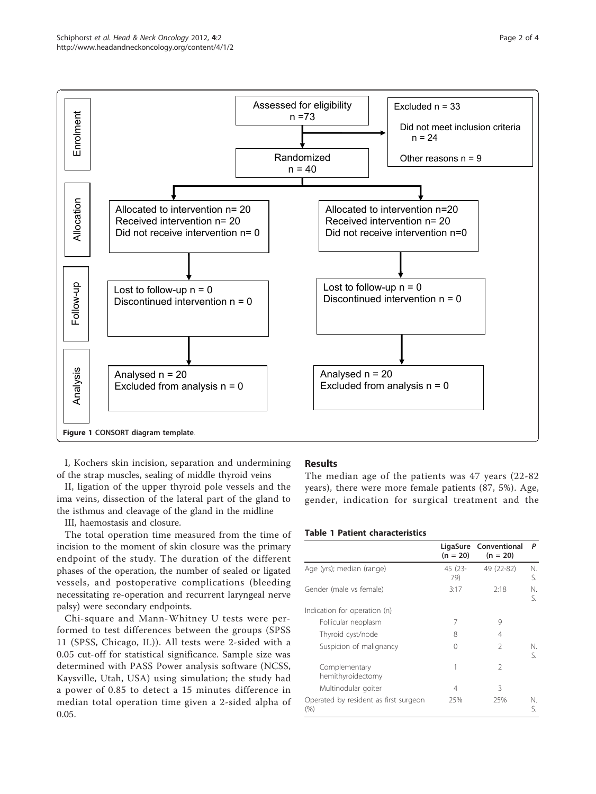<span id="page-1-0"></span>

I, Kochers skin incision, separation and undermining of the strap muscles, sealing of middle thyroid veins

II, ligation of the upper thyroid pole vessels and the ima veins, dissection of the lateral part of the gland to the isthmus and cleavage of the gland in the midline

III, haemostasis and closure.

The total operation time measured from the time of incision to the moment of skin closure was the primary endpoint of the study. The duration of the different phases of the operation, the number of sealed or ligated vessels, and postoperative complications (bleeding necessitating re-operation and recurrent laryngeal nerve palsy) were secondary endpoints.

Chi-square and Mann-Whitney U tests were performed to test differences between the groups (SPSS 11 (SPSS, Chicago, IL)). All tests were 2-sided with a 0.05 cut-off for statistical significance. Sample size was determined with PASS Power analysis software (NCSS, Kaysville, Utah, USA) using simulation; the study had a power of 0.85 to detect a 15 minutes difference in median total operation time given a 2-sided alpha of 0.05.

## **Results**

The median age of the patients was 47 years (22-82 years), there were more female patients (87, 5%). Age, gender, indication for surgical treatment and the

# Table 1 Patient characteristics

|                                               | LigaSure<br>$(n = 20)$ | Conventional<br>$(n = 20)$ | P        |
|-----------------------------------------------|------------------------|----------------------------|----------|
| Age (yrs); median (range)                     | 45 (23-<br>79)         | 49 (22-82)                 |          |
| Gender (male vs female)                       | 3:17                   | 2:18                       |          |
| Indication for operation (n)                  |                        |                            |          |
| Follicular neoplasm                           | 7                      | 9                          |          |
| Thyroid cyst/node                             | 8                      | 4                          |          |
| Suspicion of malignancy                       | 0                      | $\mathcal{P}$              | N.<br>S. |
| Complementary<br>hemithyroidectomy            |                        | 2                          |          |
| Multinodular goiter                           | 4                      | 3                          |          |
| Operated by resident as first surgeon<br>(% ) | 25%                    | 25%                        | N.<br>S. |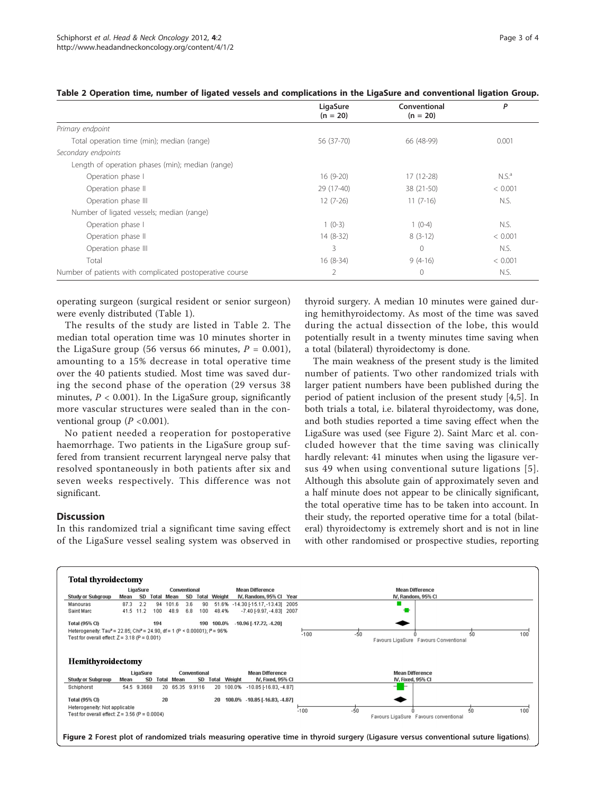| LigaSure   | Conventional | P          |
|------------|--------------|------------|
|            |              |            |
| 56 (37-70) | 66 (48-99)   | 0.001      |
|            |              |            |
|            |              |            |
| $16(9-20)$ | $17(12-28)$  | $N.S.^a$   |
| 29 (17-40) | 38 (21-50)   | < 0.001    |
| $12(7-26)$ | $11(7-16)$   | N.S.       |
|            |              |            |
| $1(0-3)$   | $1(0-4)$     | N.S.       |
| $14(8-32)$ | $8(3-12)$    | < 0.001    |
| 3          | $\mathbf{0}$ | N.S.       |
| $16(8-34)$ | $9(4-16)$    | < 0.001    |
| 2          | $\mathbf{0}$ | N.S.       |
|            | $(n = 20)$   | $(n = 20)$ |

operating surgeon (surgical resident or senior surgeon) were evenly distributed (Table [1](#page-1-0)).

The results of the study are listed in Table 2. The median total operation time was 10 minutes shorter in the LigaSure group (56 versus 66 minutes,  $P = 0.001$ ), amounting to a 15% decrease in total operative time over the 40 patients studied. Most time was saved during the second phase of the operation (29 versus 38 minutes,  $P < 0.001$ ). In the LigaSure group, significantly more vascular structures were sealed than in the conventional group ( $P < 0.001$ ).

No patient needed a reoperation for postoperative haemorrhage. Two patients in the LigaSure group suffered from transient recurrent laryngeal nerve palsy that resolved spontaneously in both patients after six and seven weeks respectively. This difference was not significant.

# **Discussion**

In this randomized trial a significant time saving effect of the LigaSure vessel sealing system was observed in thyroid surgery. A median 10 minutes were gained during hemithyroidectomy. As most of the time was saved during the actual dissection of the lobe, this would potentially result in a twenty minutes time saving when a total (bilateral) thyroidectomy is done.

The main weakness of the present study is the limited number of patients. Two other randomized trials with larger patient numbers have been published during the period of patient inclusion of the present study [[4,5\]](#page-3-0). In both trials a total, i.e. bilateral thyroidectomy, was done, and both studies reported a time saving effect when the LigaSure was used (see Figure 2). Saint Marc et al. concluded however that the time saving was clinically hardly relevant: 41 minutes when using the ligasure versus 49 when using conventional suture ligations [[5\]](#page-3-0). Although this absolute gain of approximately seven and a half minute does not appear to be clinically significant, the total operative time has to be taken into account. In their study, the reported operative time for a total (bilateral) thyroidectomy is extremely short and is not in line with other randomised or prospective studies, reporting